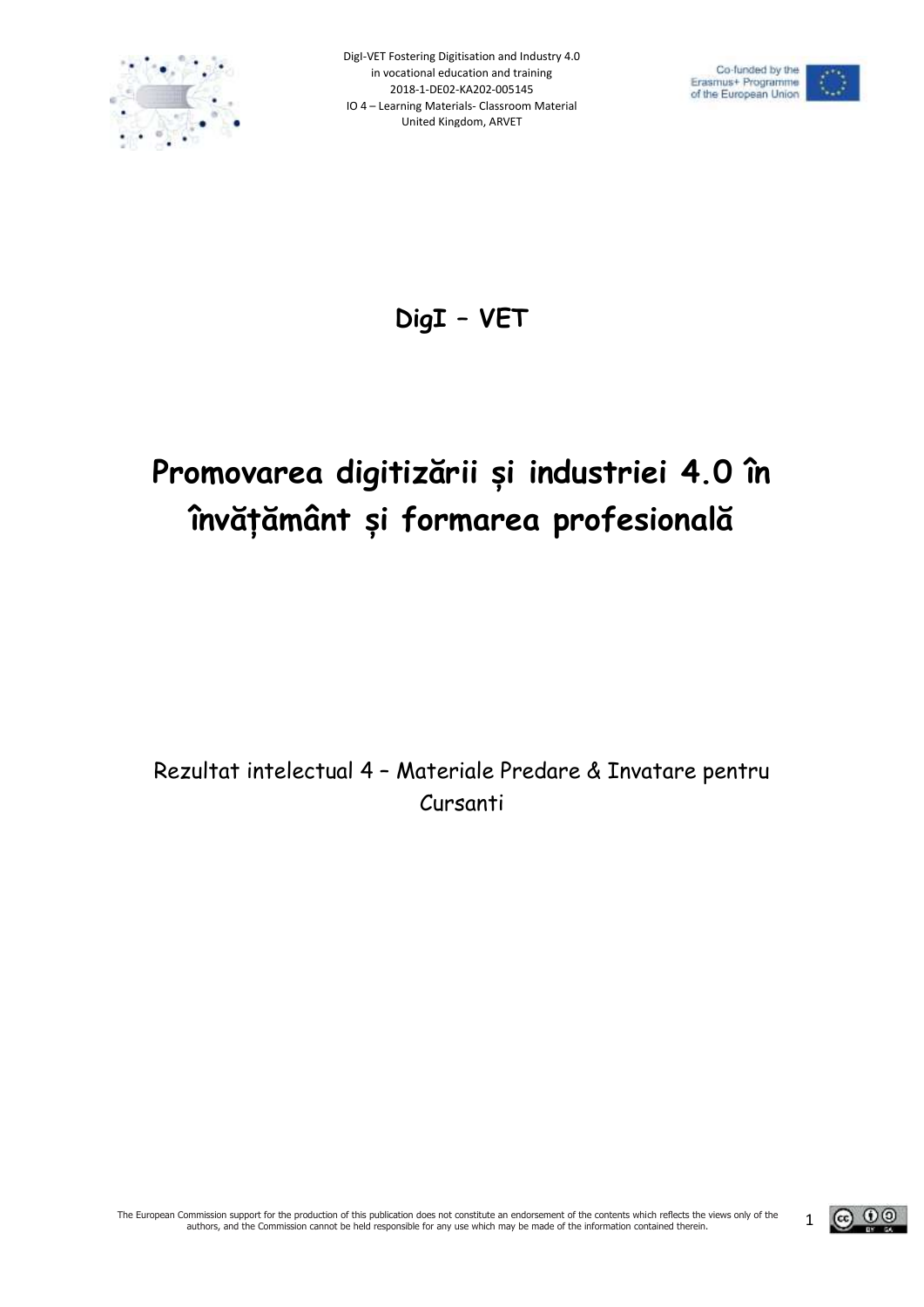





**DigI – VET** 

# **Promovarea digitizării și industriei 4.0 în învățământ și formarea profesională**

Rezultat intelectual 4 – Materiale Predare & Invatare pentru Cursanti

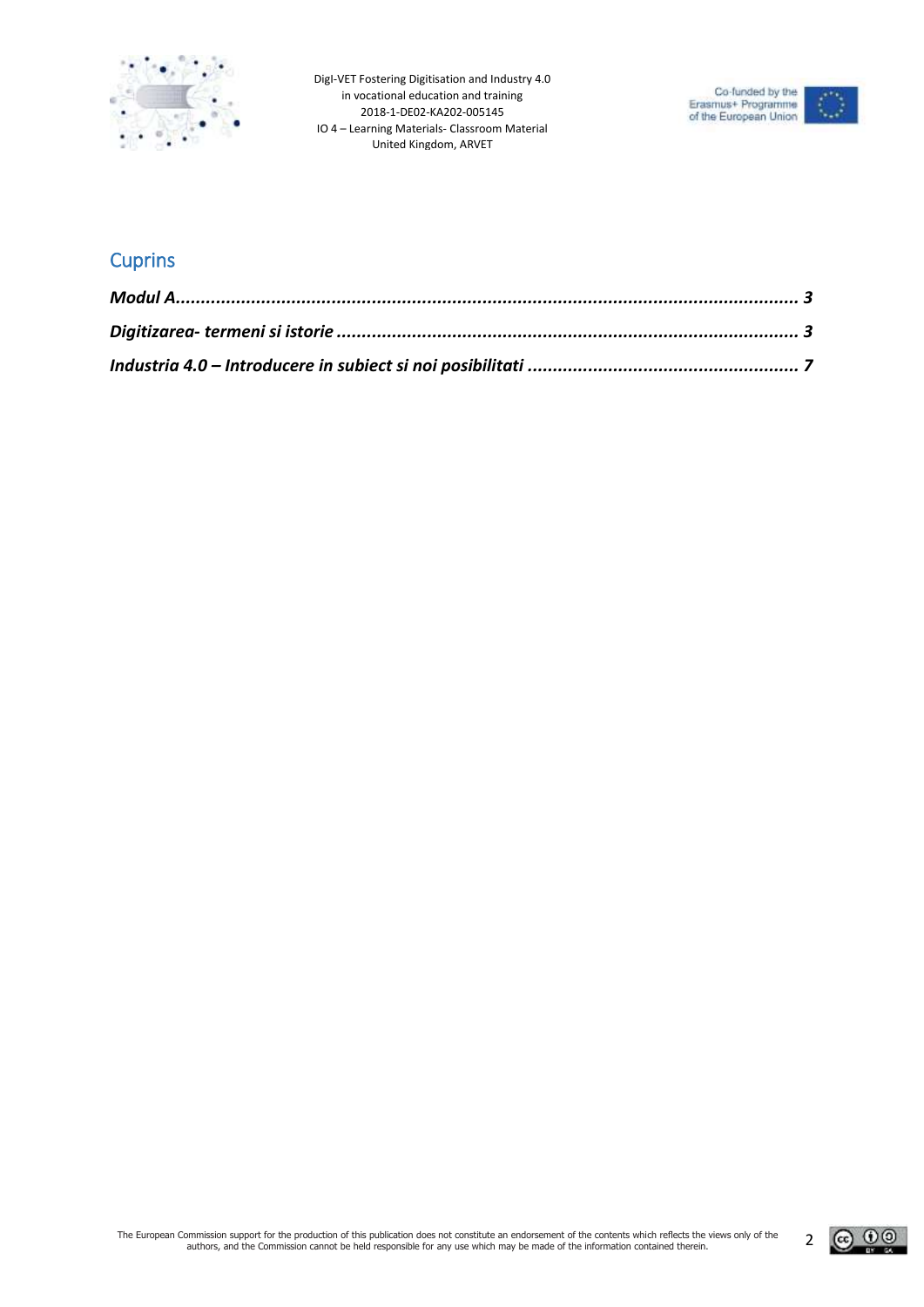



### **Cuprins**

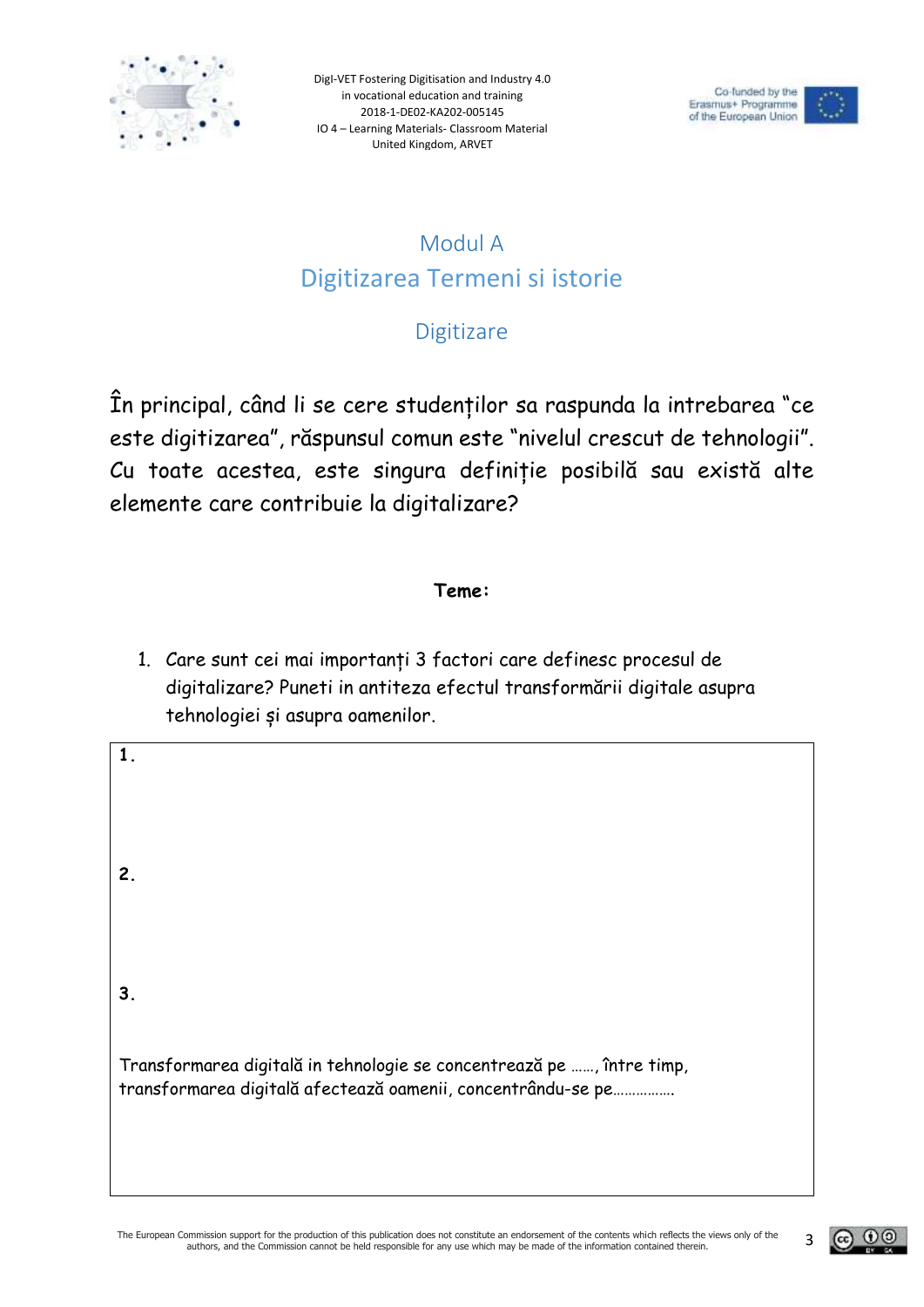



# Modul A Digitizarea Termeni si istorie

## **Digitizare**

<span id="page-2-1"></span><span id="page-2-0"></span>În principal, când li se cere studenților sa raspunda la intrebarea "ce este digitizarea", răspunsul comun este "nivelul crescut de tehnologii". Cu toate acestea, este singura definiție posibilă sau există alte elemente care contribuie la digitalizare?

#### **Teme:**

1. Care sunt cei mai importanți 3 factori care definesc procesul de digitalizare? Puneti in antiteza efectul transformării digitale asupra tehnologiei și asupra oamenilor.

**1. 2. 3.** Transformarea digitală in tehnologie se concentrează pe ……, între timp, transformarea digitală afectează oamenii, concentrându-se pe…………….

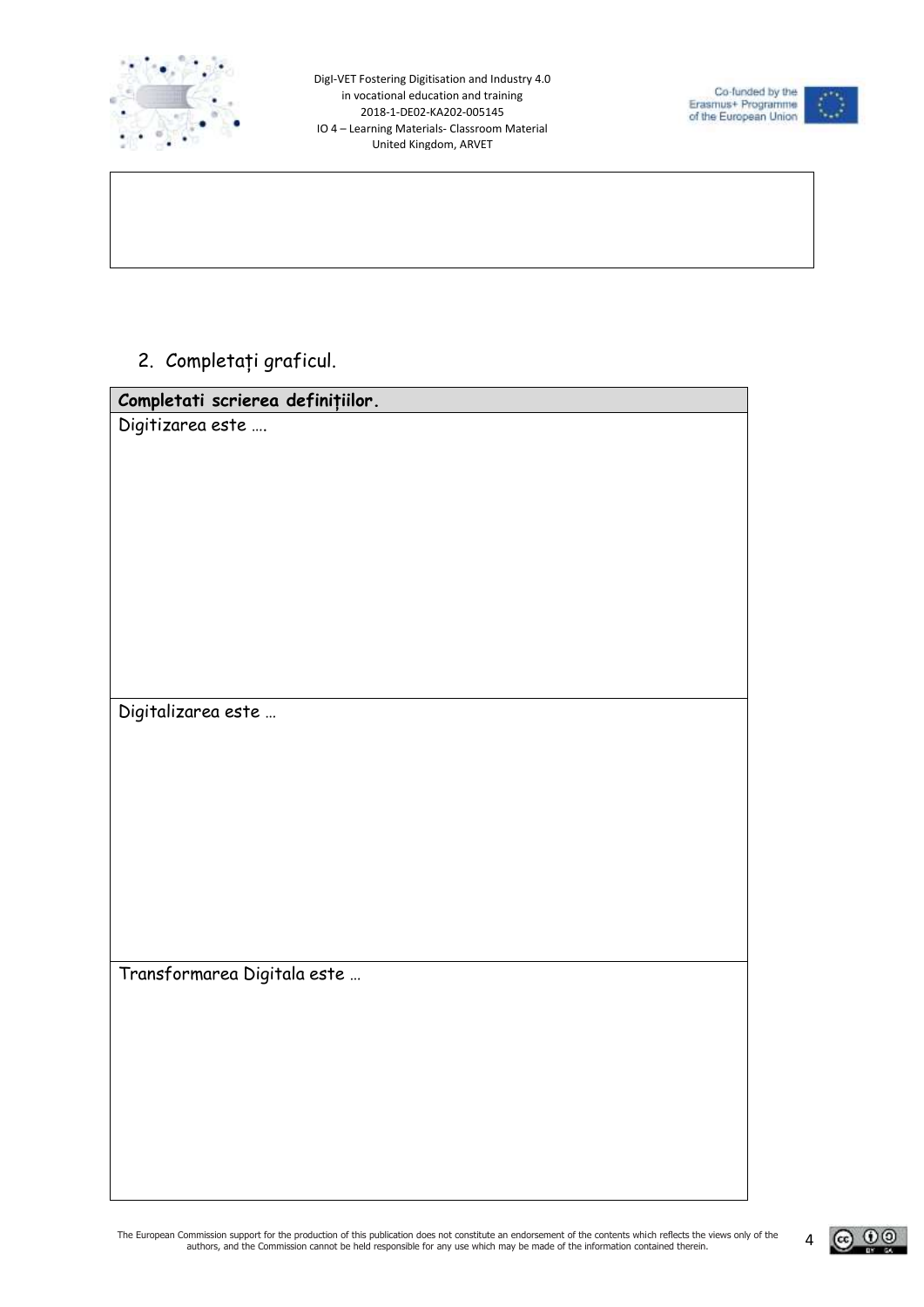



2. Completați graficul.

| Completati scrierea definițiilor. |
|-----------------------------------|
| Digitizarea este                  |
|                                   |
|                                   |
|                                   |
|                                   |
|                                   |
|                                   |
|                                   |
|                                   |
|                                   |
| Digitalizarea este                |
|                                   |
|                                   |
|                                   |
|                                   |
|                                   |
|                                   |
|                                   |
|                                   |
| Transformarea Digitala este       |
|                                   |
|                                   |
|                                   |
|                                   |
|                                   |
|                                   |
|                                   |

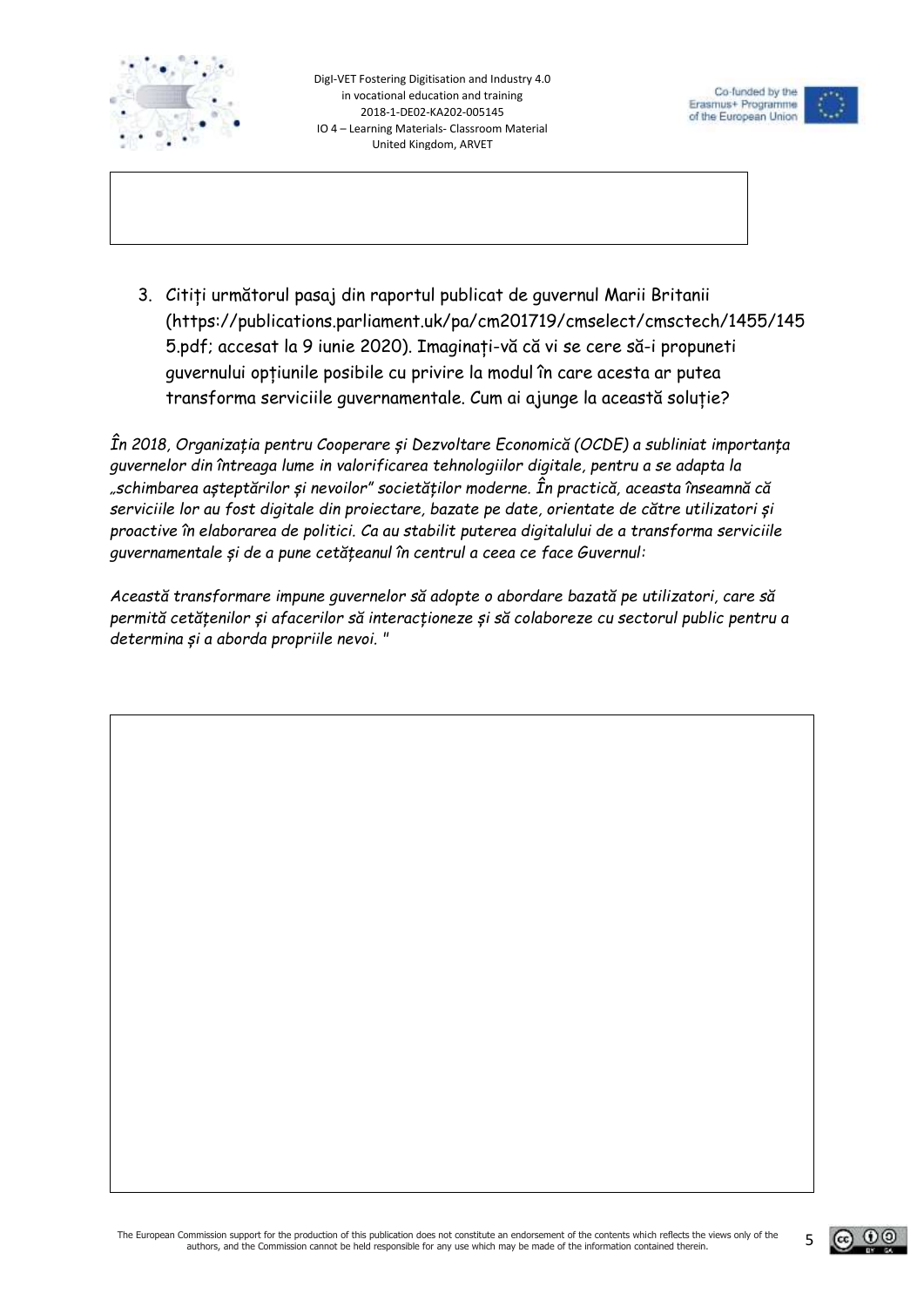



3. Citiți următorul pasaj din raportul publicat de guvernul Marii Britanii (https://publications.parliament.uk/pa/cm201719/cmselect/cmsctech/1455/145 5.pdf; accesat la 9 iunie 2020). Imaginați-vă că vi se cere să-i propuneti guvernului opțiunile posibile cu privire la modul în care acesta ar putea transforma serviciile guvernamentale. Cum ai ajunge la această soluție?

*În 2018, Organizația pentru Cooperare și Dezvoltare Economică (OCDE) a subliniat importanța guvernelor din întreaga lume in valorificarea tehnologiilor digitale, pentru a se adapta la "schimbarea așteptărilor și nevoilor" societăților moderne. În practică, aceasta înseamnă că serviciile lor au fost digitale din proiectare, bazate pe date, orientate de către utilizatori și proactive în elaborarea de politici. Ca au stabilit puterea digitalului de a transforma serviciile guvernamentale și de a pune cetățeanul în centrul a ceea ce face Guvernul:* 

*Această transformare impune guvernelor să adopte o abordare bazată pe utilizatori, care să permită cetățenilor și afacerilor să interacționeze și să colaboreze cu sectorul public pentru a determina și a aborda propriile nevoi. "*

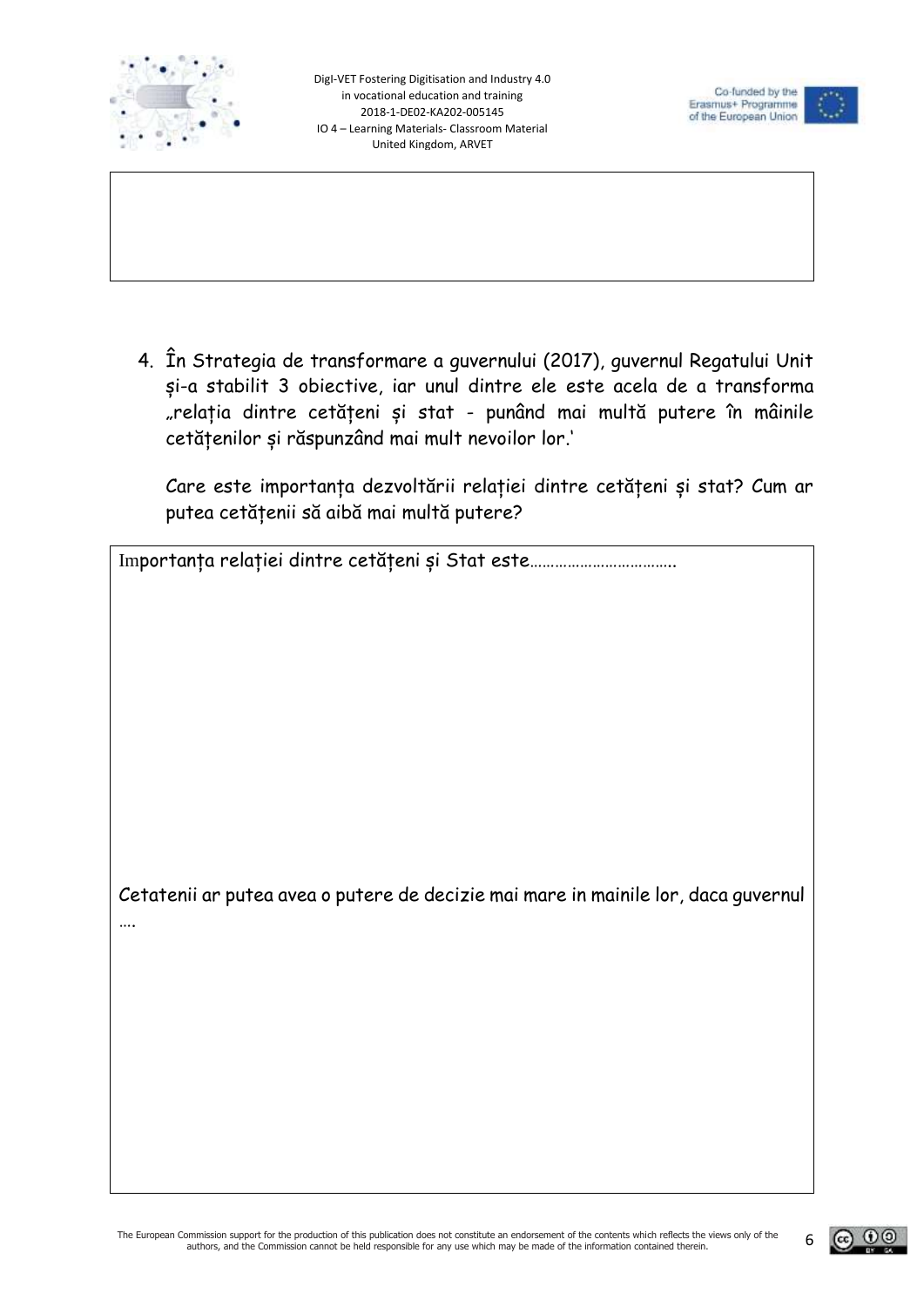



4. În Strategia de transformare a guvernului (2017), guvernul Regatului Unit și-a stabilit 3 obiective, iar unul dintre ele este acela de a transforma "relația dintre cetățeni și stat - punând mai multă putere în mâinile cetățenilor și răspunzând mai mult nevoilor lor.'

Care este importanța dezvoltării relației dintre cetățeni și stat? Cum ar putea cetățenii să aibă mai multă putere?

Importanța relației dintre cetățeni și Stat este……………………………..

Cetatenii ar putea avea o putere de decizie mai mare in mainile lor, daca guvernul ….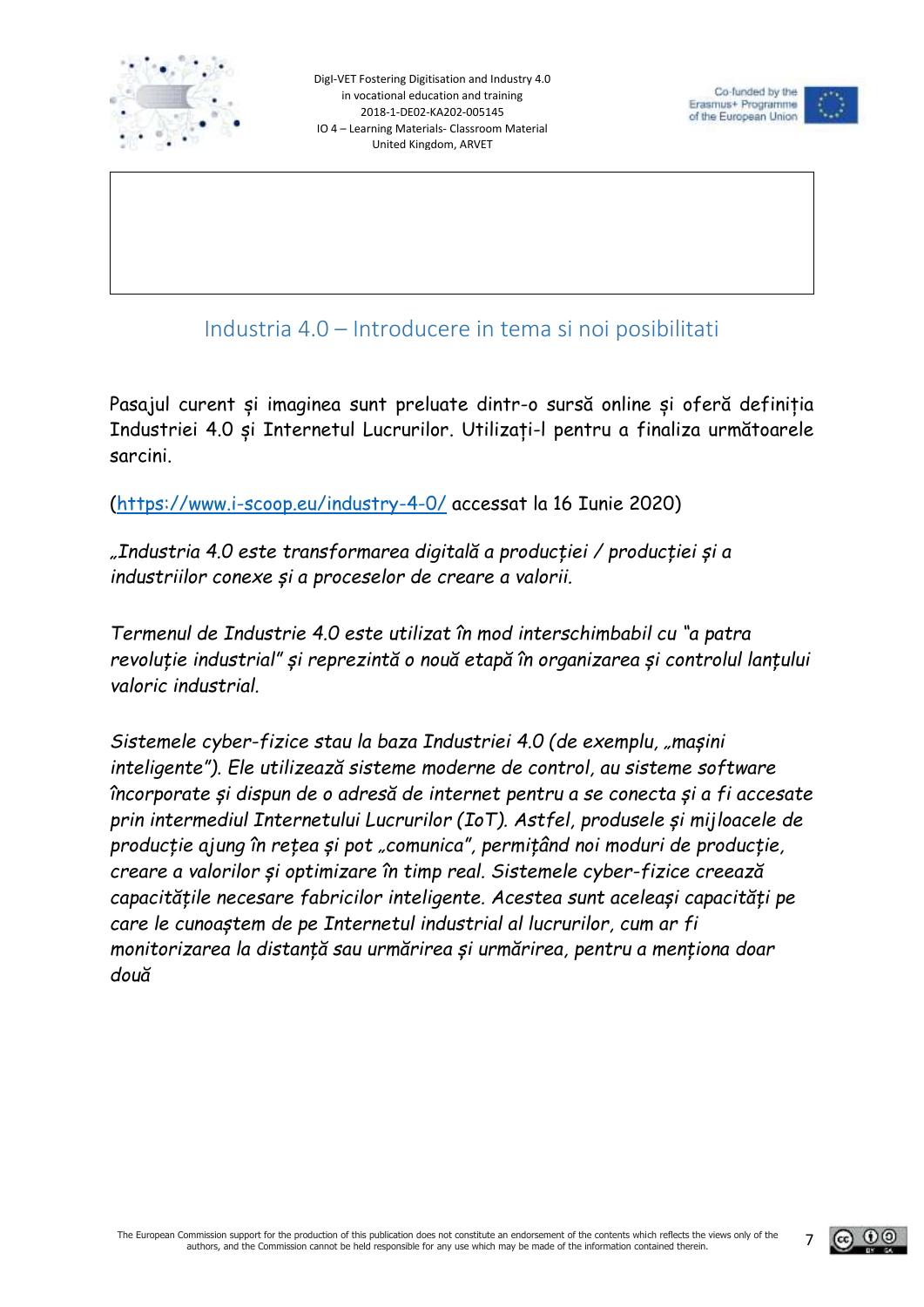



Industria 4.0 – Introducere in tema si noi posibilitati

<span id="page-6-0"></span>Pasajul curent și imaginea sunt preluate dintr-o sursă online și oferă definiția Industriei 4.0 și Internetul Lucrurilor. Utilizați-l pentru a finaliza următoarele sarcini.

[\(https://www.i-scoop.eu/industry-4-0/](https://www.i-scoop.eu/industry-4-0/) accessat la 16 Iunie 2020)

*"Industria 4.0 este transformarea digitală a producției / producției și a industriilor conexe și a proceselor de creare a valorii.*

*Termenul de Industrie 4.0 este utilizat în mod interschimbabil cu "a patra revoluție industrial" și reprezintă o nouă etapă în organizarea și controlul lanțului valoric industrial.*

*Sistemele cyber-fizice stau la baza Industriei 4.0 (de exemplu, "mașini inteligente"). Ele utilizează sisteme moderne de control, au sisteme software încorporate și dispun de o adresă de internet pentru a se conecta și a fi accesate prin intermediul Internetului Lucrurilor (IoT). Astfel, produsele și mijloacele de producție ajung în rețea și pot "comunica", permițând noi moduri de producție, creare a valorilor și optimizare în timp real. Sistemele cyber-fizice creează capacitățile necesare fabricilor inteligente. Acestea sunt aceleași capacități pe care le cunoaștem de pe Internetul industrial al lucrurilor, cum ar fi monitorizarea la distanță sau urmărirea și urmărirea, pentru a menționa doar două*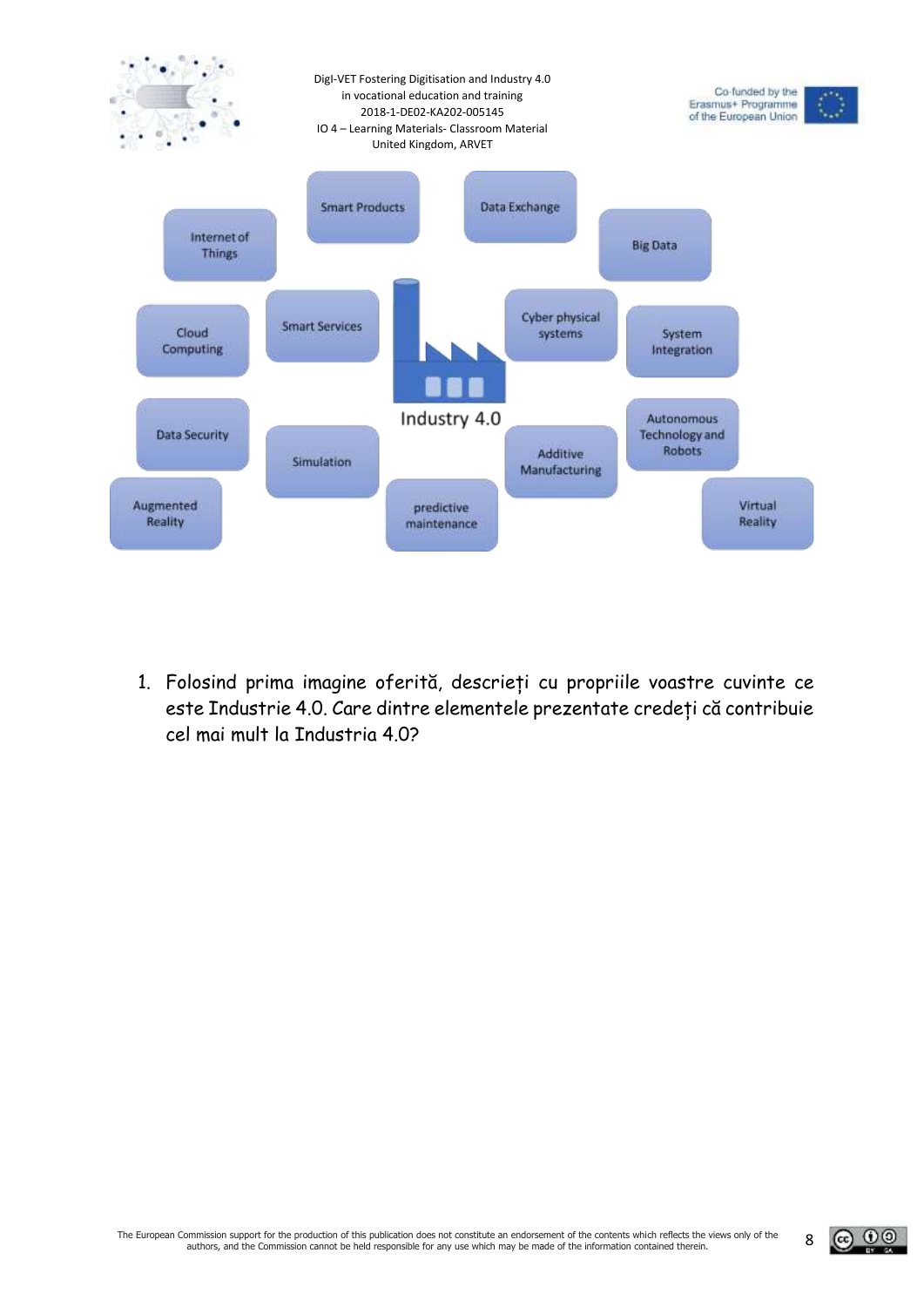

1. Folosind prima imagine oferită, descrieți cu propriile voastre cuvinte ce este Industrie 4.0. Care dintre elementele prezentate credeți că contribuie cel mai mult la Industria 4.0?

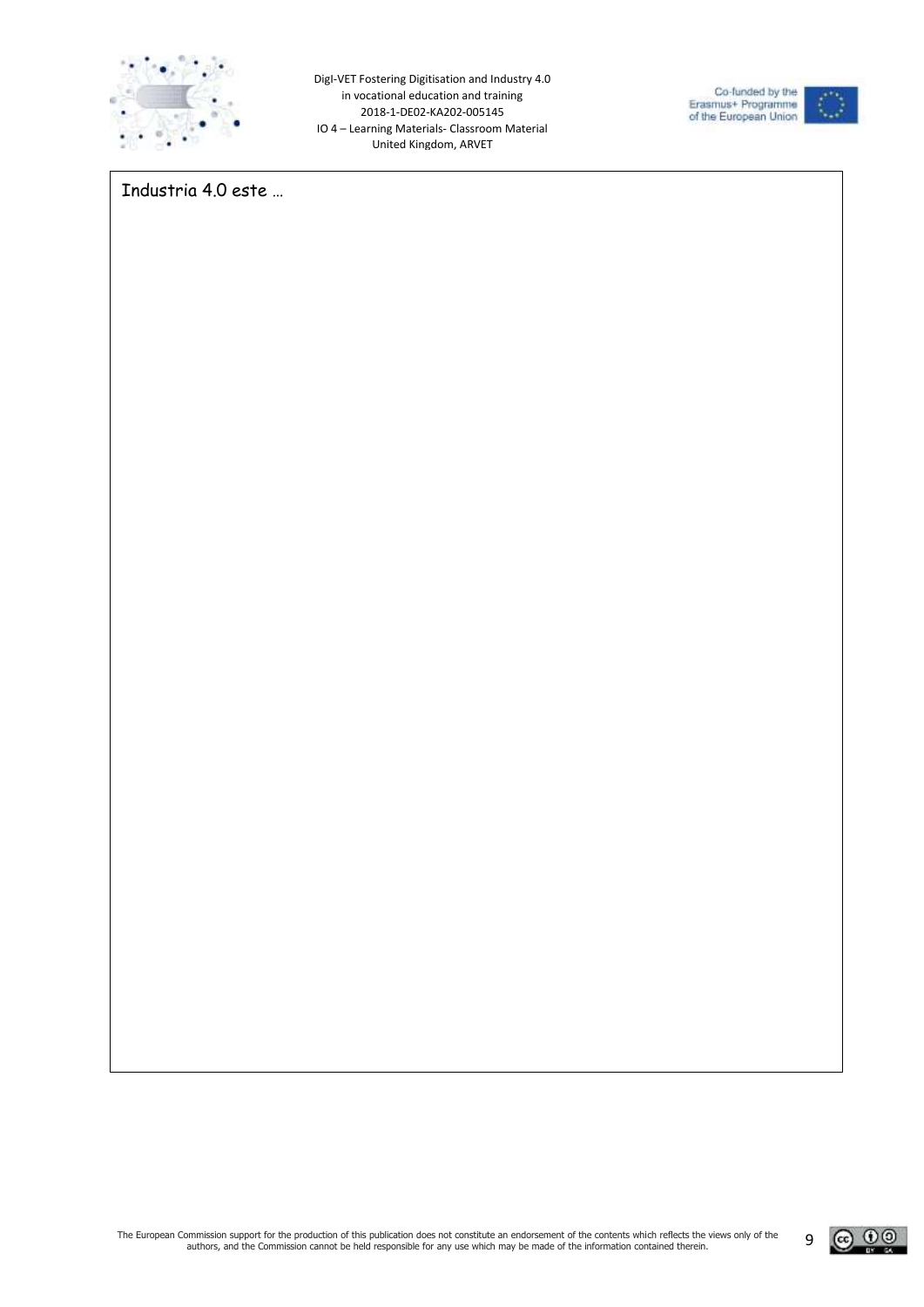



Industria 4.0 este …

<u>@ 00</u>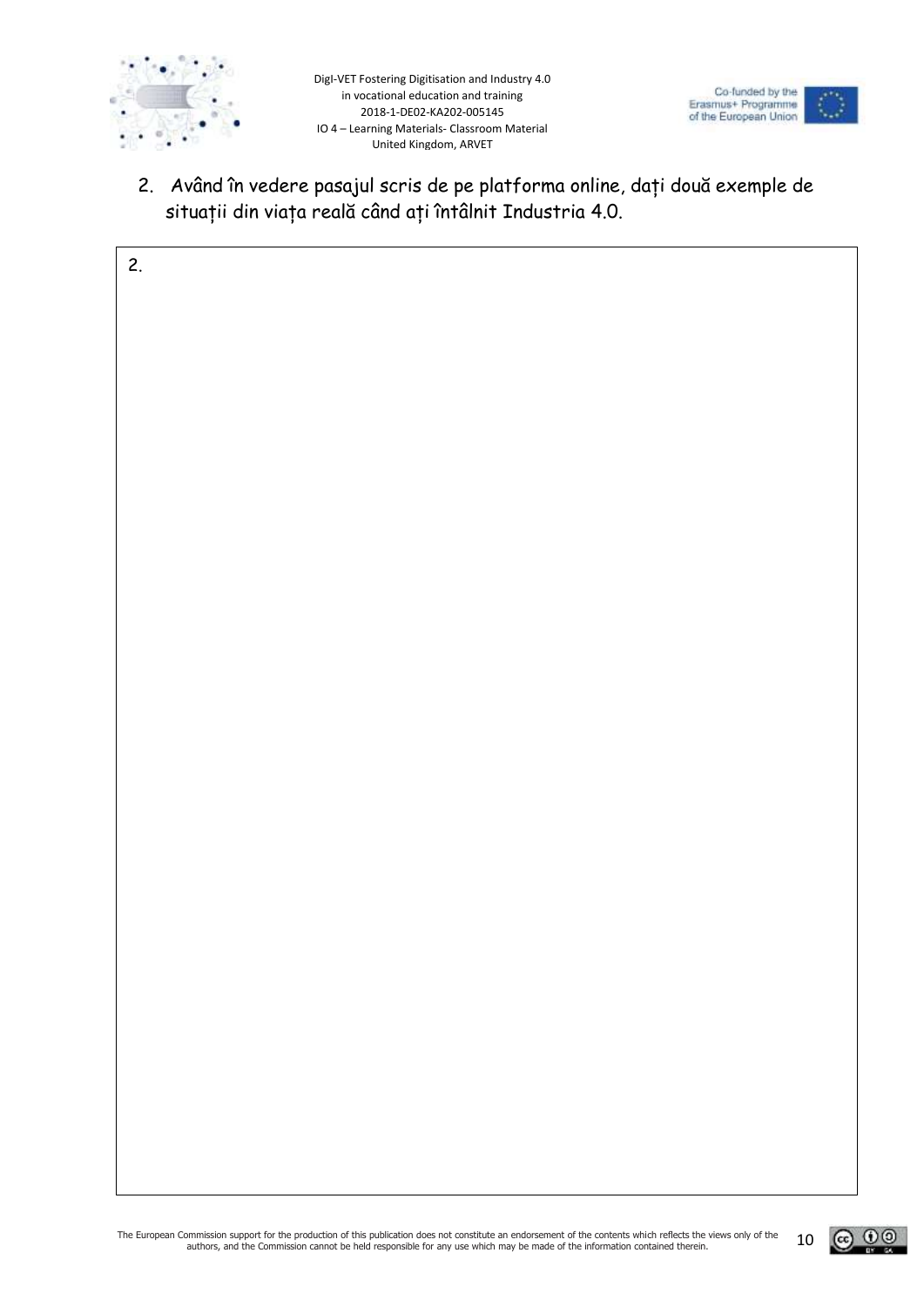



2. Având în vedere pasajul scris de pe platforma online, dați două exemple de situații din viața reală când ați întâlnit Industria 4.0.

| 2. |  |
|----|--|
|    |  |
|    |  |
|    |  |
|    |  |
|    |  |
|    |  |
|    |  |
|    |  |
|    |  |
|    |  |
|    |  |
|    |  |
|    |  |
|    |  |
|    |  |
|    |  |
|    |  |
|    |  |
|    |  |
|    |  |
|    |  |
|    |  |